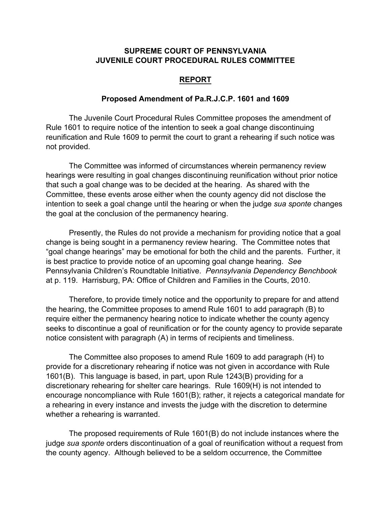## **SUPREME COURT OF PENNSYLVANIA JUVENILE COURT PROCEDURAL RULES COMMITTEE**

## **REPORT**

## **Proposed Amendment of Pa.R.J.C.P. 1601 and 1609**

The Juvenile Court Procedural Rules Committee proposes the amendment of Rule 1601 to require notice of the intention to seek a goal change discontinuing reunification and Rule 1609 to permit the court to grant a rehearing if such notice was not provided.

The Committee was informed of circumstances wherein permanency review hearings were resulting in goal changes discontinuing reunification without prior notice that such a goal change was to be decided at the hearing. As shared with the Committee, these events arose either when the county agency did not disclose the intention to seek a goal change until the hearing or when the judge *sua sponte* changes the goal at the conclusion of the permanency hearing.

Presently, the Rules do not provide a mechanism for providing notice that a goal change is being sought in a permanency review hearing. The Committee notes that "goal change hearings" may be emotional for both the child and the parents. Further, it is best practice to provide notice of an upcoming goal change hearing. *See* Pennsylvania Children's Roundtable Initiative. *Pennsylvania Dependency Benchbook* at p. 119. Harrisburg, PA: Office of Children and Families in the Courts, 2010.

Therefore, to provide timely notice and the opportunity to prepare for and attend the hearing, the Committee proposes to amend Rule 1601 to add paragraph (B) to require either the permanency hearing notice to indicate whether the county agency seeks to discontinue a goal of reunification or for the county agency to provide separate notice consistent with paragraph (A) in terms of recipients and timeliness.

The Committee also proposes to amend Rule 1609 to add paragraph (H) to provide for a discretionary rehearing if notice was not given in accordance with Rule 1601(B). This language is based, in part, upon Rule 1243(B) providing for a discretionary rehearing for shelter care hearings. Rule 1609(H) is not intended to encourage noncompliance with Rule 1601(B); rather, it rejects a categorical mandate for a rehearing in every instance and invests the judge with the discretion to determine whether a rehearing is warranted.

The proposed requirements of Rule 1601(B) do not include instances where the judge *sua sponte* orders discontinuation of a goal of reunification without a request from the county agency. Although believed to be a seldom occurrence, the Committee